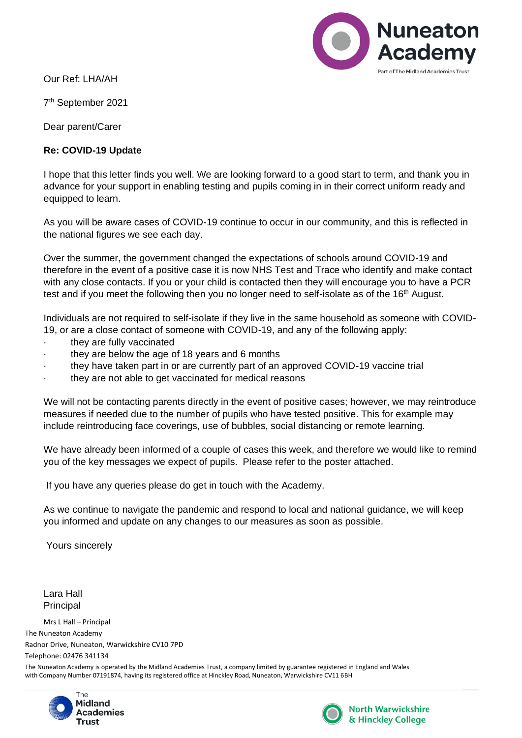

Our Ref: LHA/AH

7 th September 2021

Dear parent/Carer

## **Re: COVID-19 Update**

I hope that this letter finds you well. We are looking forward to a good start to term, and thank you in advance for your support in enabling testing and pupils coming in in their correct uniform ready and equipped to learn.

As you will be aware cases of COVID-19 continue to occur in our community, and this is reflected in the national figures we see each day.

Over the summer, the government changed the expectations of schools around COVID-19 and therefore in the event of a positive case it is now NHS Test and Trace who identify and make contact with any close contacts. If you or your child is contacted then they will encourage you to have a PCR test and if you meet the following then you no longer need to self-isolate as of the  $16<sup>th</sup>$  August.

Individuals are not required to self-isolate if they live in the same household as someone with COVID-19, or are a close contact of someone with COVID-19, and any of the following apply:

- they are fully vaccinated
- they are below the age of 18 years and 6 months
- · they have taken part in or are currently part of an approved COVID-19 vaccine trial
- they are not able to get vaccinated for medical reasons

We will not be contacting parents directly in the event of positive cases; however, we may reintroduce measures if needed due to the number of pupils who have tested positive. This for example may include reintroducing face coverings, use of bubbles, social distancing or remote learning.

We have already been informed of a couple of cases this week, and therefore we would like to remind you of the key messages we expect of pupils. Please refer to the poster attached.

If you have any queries please do get in touch with the Academy.

As we continue to navigate the pandemic and respond to local and national guidance, we will keep you informed and update on any changes to our measures as soon as possible.

Yours sincerely

Lara Hall Principal

Mrs L Hall – Principal The Nuneaton Academy Radnor Drive, Nuneaton, Warwickshire CV10 7PD Telephone: 02476 341134

The Nuneaton Academy is operated by the Midland Academies Trust, a company limited by guarantee registered in England and Wales with Company Number 07191874, having its registered office at Hinckley Road, Nuneaton, Warwickshire CV11 6BH





**North Warwickshire** & Hinckley College

 $\overline{\phantom{a}}$